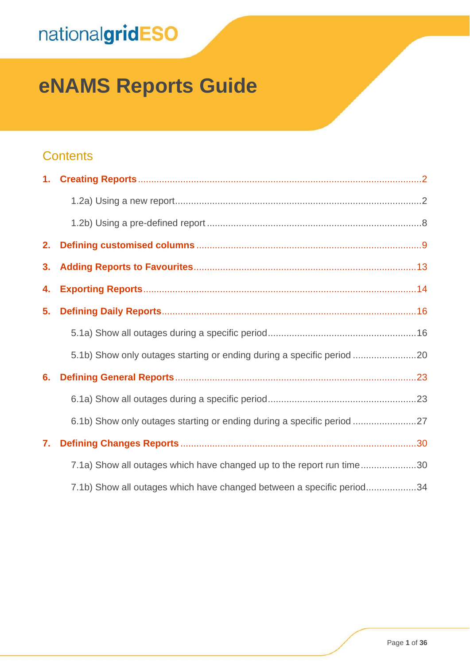# **eNAMS Reports Guide**

#### **Contents**

| 2. |                                                                        |
|----|------------------------------------------------------------------------|
| 3. |                                                                        |
| 4. |                                                                        |
| 5. |                                                                        |
|    |                                                                        |
|    |                                                                        |
| 6. |                                                                        |
|    |                                                                        |
|    | 6.1b) Show only outages starting or ending during a specific period 27 |
| 7. |                                                                        |
|    | 7.1a) Show all outages which have changed up to the report run time30  |
|    | 7.1b) Show all outages which have changed between a specific period34  |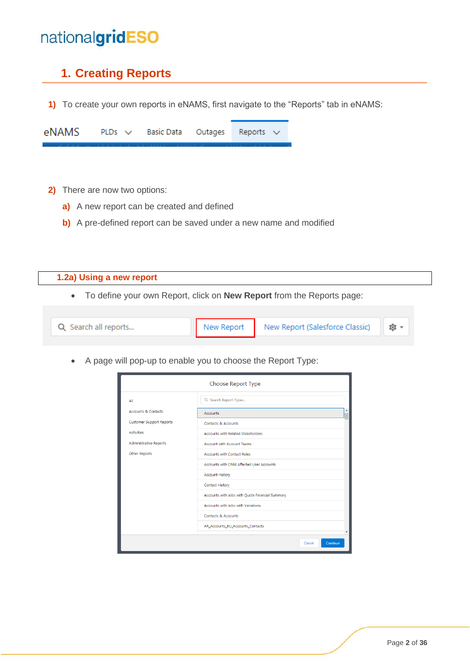#### <span id="page-1-0"></span>**1. Creating Reports**

**1)** To create your own reports in eNAMS, first navigate to the "Reports" tab in eNAMS:

| $eNAMS$ PLDs $\vee$ Basic Data Outages Reports $\vee$ |  |  |  |
|-------------------------------------------------------|--|--|--|
|                                                       |  |  |  |

- **2)** There are now two options:
	- **a)** A new report can be created and defined
	- **b)** A pre-defined report can be saved under a new name and modified

<span id="page-1-1"></span>

| 1.2a) Using a new report                                                     |            |                                 |      |  |  |  |
|------------------------------------------------------------------------------|------------|---------------------------------|------|--|--|--|
| To define your own Report, click on <b>New Report</b> from the Reports page: |            |                                 |      |  |  |  |
|                                                                              |            |                                 |      |  |  |  |
| Q Search all reports                                                         | New Report | New Report (Salesforce Classic) | তি ⊤ |  |  |  |

• A page will pop-up to enable you to choose the Report Type:

| Choose Report Type              |                                                              |  |  |  |  |
|---------------------------------|--------------------------------------------------------------|--|--|--|--|
| All                             | Q Search Report Types                                        |  |  |  |  |
| <b>Accounts &amp; Contacts</b>  | ۸<br><b>Accounts</b>                                         |  |  |  |  |
| <b>Customer Support Reports</b> | <b>Contacts &amp; Accounts</b>                               |  |  |  |  |
| <b>Activities</b>               | <b>Accounts with Related Stakeholders</b>                    |  |  |  |  |
| <b>Administrative Reports</b>   | <b>Account with Account Teams</b>                            |  |  |  |  |
| <b>Other Reports</b>            | <b>Accounts with Contact Roles</b>                           |  |  |  |  |
|                                 | Accounts with Child Affected User Accounts                   |  |  |  |  |
|                                 | <b>Account History</b>                                       |  |  |  |  |
|                                 | <b>Contact History</b>                                       |  |  |  |  |
|                                 | Accounts with Jobs with Quote Financial Summary              |  |  |  |  |
|                                 | Accounts with Jobs with Variations                           |  |  |  |  |
|                                 | Contacts & Accounts                                          |  |  |  |  |
|                                 | AR_Accounts_BU_Accounts_Contacts<br>$\overline{\phantom{a}}$ |  |  |  |  |
|                                 | Continue<br>Cancel                                           |  |  |  |  |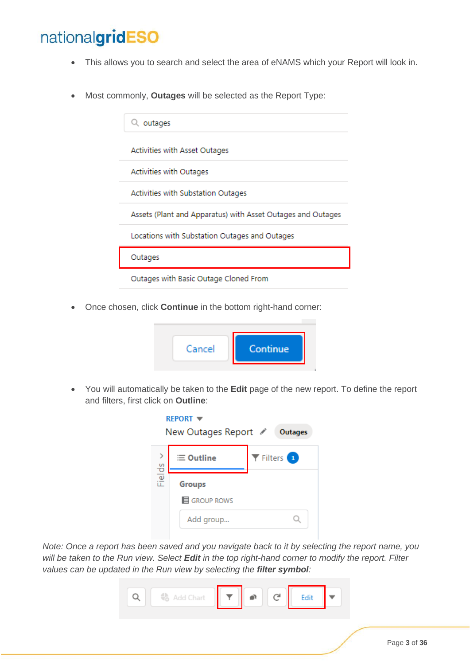- This allows you to search and select the area of eNAMS which your Report will look in.
- Most commonly, **Outages** will be selected as the Report Type:

| outages                                                     |
|-------------------------------------------------------------|
| Activities with Asset Outages                               |
| Activities with Outages                                     |
| Activities with Substation Outages                          |
| Assets (Plant and Apparatus) with Asset Outages and Outages |
| Locations with Substation Outages and Outages               |
| Outages                                                     |
| Outages with Basic Outage Cloned From                       |

• Once chosen, click **Continue** in the bottom right-hand corner:



• You will automatically be taken to the **Edit** page of the new report. To define the report and filters, first click on **Outline**:

| <b>REPORT ▼</b><br>New Outages Report ✔<br>Outages |                                                   |                                    |  |  |  |  |  |
|----------------------------------------------------|---------------------------------------------------|------------------------------------|--|--|--|--|--|
|                                                    | $\equiv$ Outline                                  | $\blacktriangledown$ Filters $(1)$ |  |  |  |  |  |
| Fields                                             | <b>Groups</b><br><b>E</b> GROUP ROWS<br>Add group |                                    |  |  |  |  |  |

*Note: Once a report has been saved and you navigate back to it by selecting the report name, you will be taken to the Run view. Select Edit in the top right-hand corner to modify the report. Filter values can be updated in the Run view by selecting the filter symbol:*

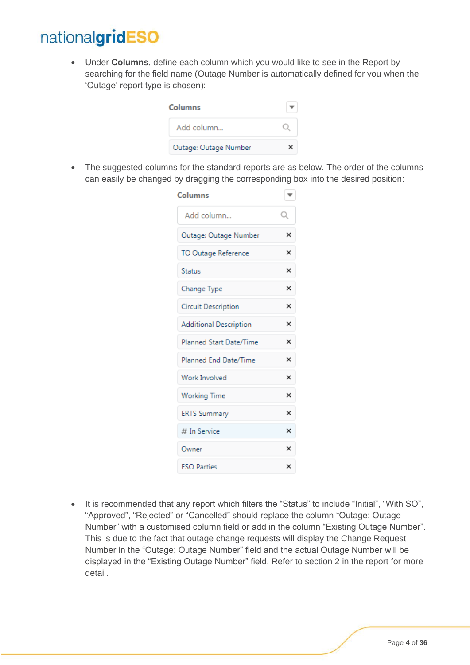• Under **Columns**, define each column which you would like to see in the Report by searching for the field name (Outage Number is automatically defined for you when the 'Outage' report type is chosen):

| Columns               |  |
|-----------------------|--|
| Add column            |  |
| Outage: Outage Number |  |

• The suggested columns for the standard reports are as below. The order of the columns can easily be changed by dragging the corresponding box into the desired position:

| <b>Columns</b>          | ▼ |
|-------------------------|---|
| Add column              | Q |
| Outage: Outage Number   | × |
| TO Outage Reference     | × |
| <b>Status</b>           | × |
| Change Type             | × |
| Circuit Description     | × |
| Additional Description  | × |
| Planned Start Date/Time | × |
| Planned End Date/Time   | × |
| Work Involved           | × |
| <b>Working Time</b>     | × |
| <b>ERTS Summary</b>     | × |
| # In Service            | × |
| Owner                   | × |
| <b>ESO Parties</b>      | × |

• It is recommended that any report which filters the "Status" to include "Initial", "With SO", "Approved", "Rejected" or "Cancelled" should replace the column "Outage: Outage Number" with a customised column field or add in the column "Existing Outage Number". This is due to the fact that outage change requests will display the Change Request Number in the "Outage: Outage Number" field and the actual Outage Number will be displayed in the "Existing Outage Number" field. Refer to section 2 in the report for more detail.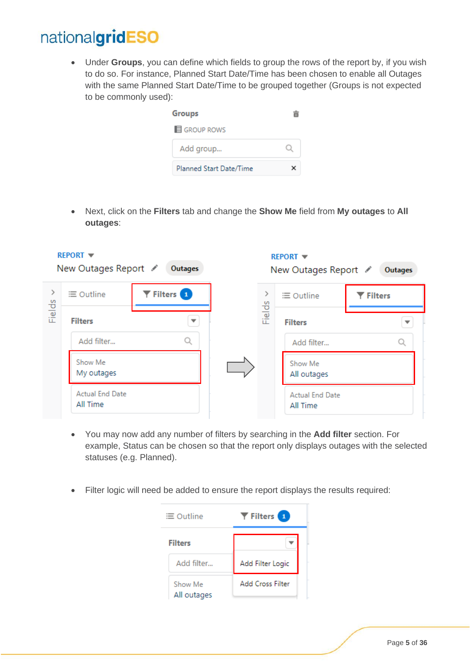• Under **Groups**, you can define which fields to group the rows of the report by, if you wish to do so. For instance, Planned Start Date/Time has been chosen to enable all Outages with the same Planned Start Date/Time to be grouped together (Groups is not expected to be commonly used):



• Next, click on the **Filters** tab and change the **Show Me** field from **My outages** to **All outages**:

|        | <b>REPORT <math>\blacktriangledown</math></b><br>New Outages Report ∕ | Outages                                  |        | <b>REPORT ▼</b><br>New Outages Report / | Outages        |
|--------|-----------------------------------------------------------------------|------------------------------------------|--------|-----------------------------------------|----------------|
|        | $\equiv$ Outline                                                      | $\blacktriangledown$ Filters $\boxed{1}$ |        | $\equiv$ Outline                        | <b>Filters</b> |
| Fields | <b>Filters</b>                                                        |                                          | Fields | <b>Filters</b>                          |                |
|        | Add filter                                                            | Q                                        |        | Add filter                              |                |
|        | Show Me<br>My outages                                                 |                                          |        | Show Me<br>All outages                  |                |
|        | <b>Actual End Date</b><br>All Time                                    |                                          |        | <b>Actual End Date</b><br>All Time      |                |

- You may now add any number of filters by searching in the **Add filter** section. For example, Status can be chosen so that the report only displays outages with the selected statuses (e.g. Planned).
- Filter logic will need be added to ensure the report displays the results required:

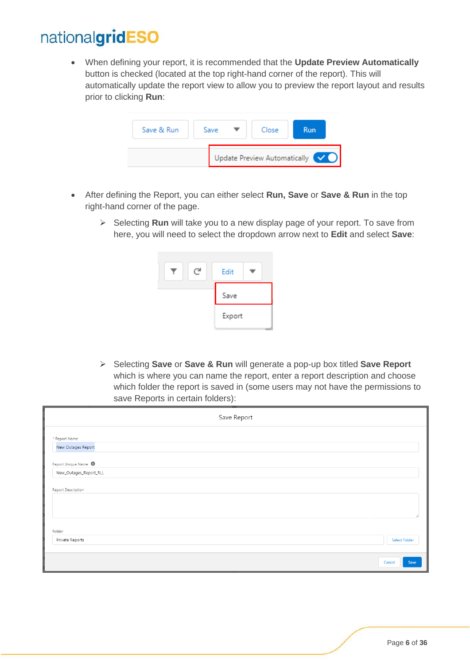• When defining your report, it is recommended that the **Update Preview Automatically**  button is checked (located at the top right-hand corner of the report). This will automatically update the report view to allow you to preview the report layout and results prior to clicking **Run**:

| Save & Run | Save | Close                                             | Run |  |
|------------|------|---------------------------------------------------|-----|--|
|            |      | Update Preview Automatically $\blacktriangledown$ |     |  |

- After defining the Report, you can either select **Run, Save** or **Save & Run** in the top right-hand corner of the page.
	- ➢ Selecting **Run** will take you to a new display page of your report. To save from here, you will need to select the dropdown arrow next to **Edit** and select **Save**:



➢ Selecting **Save** or **Save & Run** will generate a pop-up box titled **Save Report** which is where you can name the report, enter a report description and choose which folder the report is saved in (some users may not have the permissions to save Reports in certain folders):

|                                     | Save Report |                |
|-------------------------------------|-------------|----------------|
| * Report Name<br>New Outages Report |             |                |
| Report Unique Name                  |             |                |
| New_Outages_Report_RLL              |             |                |
| Report Description                  |             |                |
|                                     |             |                |
|                                     |             |                |
| Folder                              |             |                |
| Private Reports                     |             | Select Folder  |
|                                     |             |                |
|                                     |             | Cancel<br>Save |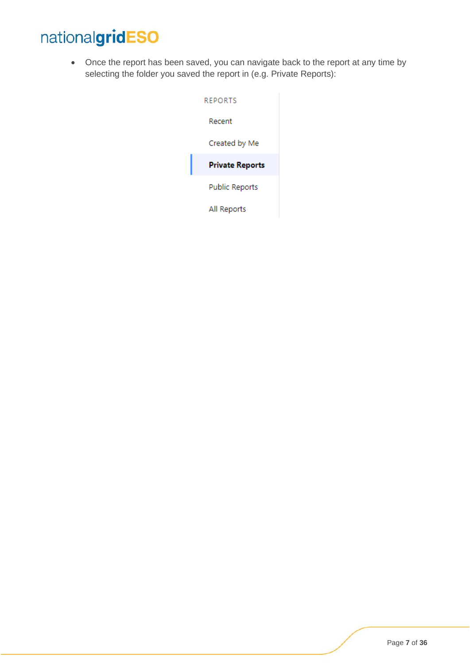• Once the report has been saved, you can navigate back to the report at any time by selecting the folder you saved the report in (e.g. Private Reports):

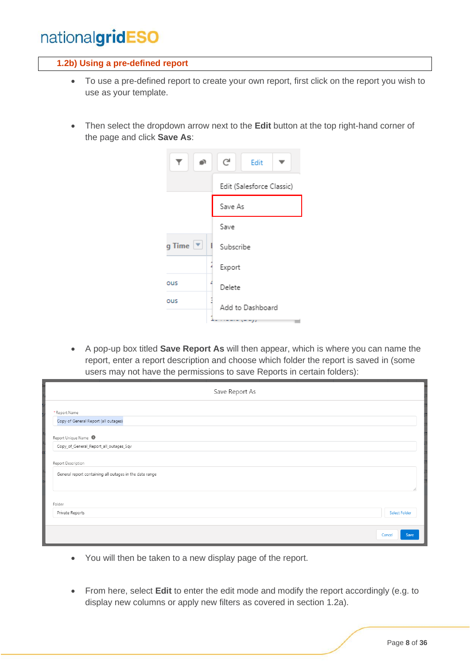#### <span id="page-7-0"></span>**1.2b) Using a pre-defined report**

- To use a pre-defined report to create your own report, first click on the report you wish to use as your template.
- Then select the dropdown arrow next to the **Edit** button at the top right-hand corner of the page and click **Save As**:

|                       |  | C                         | Edit             |  |  |
|-----------------------|--|---------------------------|------------------|--|--|
|                       |  | Edit (Salesforce Classic) |                  |  |  |
|                       |  | Save As                   |                  |  |  |
|                       |  | Save                      |                  |  |  |
| g Time $ \mathbf{v} $ |  | Subscribe                 |                  |  |  |
|                       |  | Export                    |                  |  |  |
| ous                   |  | Delete                    |                  |  |  |
| ous                   |  |                           | Add to Dashboard |  |  |
|                       |  |                           |                  |  |  |

• A pop-up box titled **Save Report As** will then appear, which is where you can name the report, enter a report description and choose which folder the report is saved in (some users may not have the permissions to save Reports in certain folders):

| Save Report As                                          |             |
|---------------------------------------------------------|-------------|
| * Report Name                                           |             |
| Copy of General Report (all outages)                    |             |
| Report Unique Name <sup>O</sup>                         |             |
| Copy_of_General_Report_all_outages_5qv                  |             |
| Report Description                                      |             |
| General report containing all outages in the date range |             |
|                                                         |             |
| Folder                                                  |             |
| Private Reports<br>Select Folder                        |             |
|                                                         |             |
| Cancel                                                  | <b>Save</b> |

- You will then be taken to a new display page of the report.
- From here, select **Edit** to enter the edit mode and modify the report accordingly (e.g. to display new columns or apply new filters as covered in section 1.2a).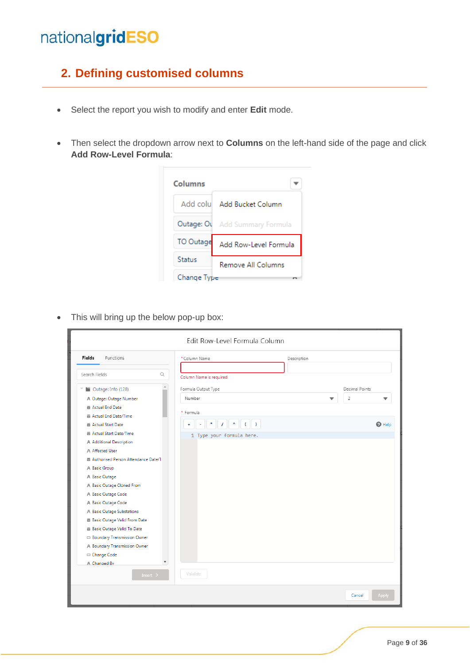#### <span id="page-8-0"></span>**2. Defining customised columns**

- Select the report you wish to modify and enter **Edit** mode.
- Then select the dropdown arrow next to **Columns** on the left-hand side of the page and click **Add Row-Level Formula**:



• This will bring up the below pop-up box:

| <b>Fields</b><br><b>Functions</b>                 | *Column Name              | Description              |                     |
|---------------------------------------------------|---------------------------|--------------------------|---------------------|
| $\hbox{\ensuremath{\mathsf{Q}}}$<br>Search Fields |                           |                          |                     |
|                                                   | Column Name is required.  |                          |                     |
| $\Delta$<br>Outage: Info (128)                    | Formula Output Type       |                          | Decimal Points      |
| A Outage: Outage Number                           | Number                    | $\overline{\phantom{a}}$ | $\overline{2}$<br>▼ |
| ■ Actual End Date                                 |                           |                          |                     |
| Actual End Date/Time                              | * Formula                 |                          |                     |
| <b>iii</b> Actual Start Date                      | $\ddot{}$                 |                          | $Q$ Help            |
| ■ Actual Start Date/Time                          | 1 Type your formula here. |                          |                     |
| A Additional Description                          |                           |                          |                     |
| A Affected User                                   |                           |                          |                     |
| Authorised Person Attendance Date/1               |                           |                          |                     |
| A Basic Group                                     |                           |                          |                     |
| A Basic Outage                                    |                           |                          |                     |
| A Basic Outage Cloned From                        |                           |                          |                     |
| A Basic Outage Code                               |                           |                          |                     |
| A Basic Outage Code                               |                           |                          |                     |
| A Basic Outage Substations                        |                           |                          |                     |
| ■ Basic Outage Valid From Date                    |                           |                          |                     |
| 曲 Basic Outage Valid To Date                      |                           |                          |                     |
| Boundary Transmission Owner                       |                           |                          |                     |
| A Boundary Transmission Owner                     |                           |                          |                     |
| □ Change Code                                     |                           |                          |                     |
| $\overline{\mathbf v}$<br>A Changed By            |                           |                          |                     |
| Insert $\,$ $\,$ $\,$                             | Validate                  |                          |                     |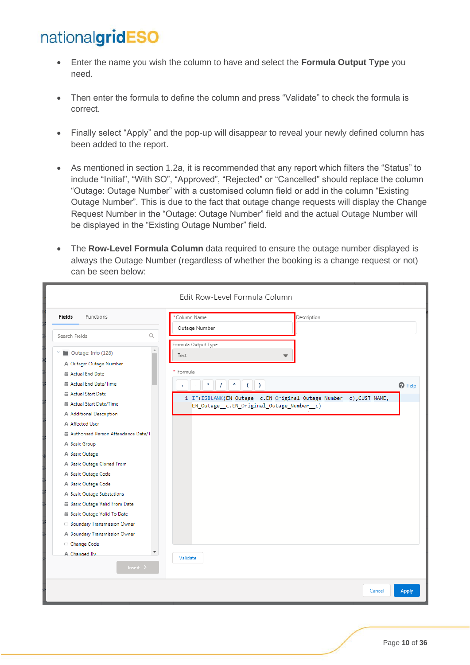- Enter the name you wish the column to have and select the **Formula Output Type** you need.
- Then enter the formula to define the column and press "Validate" to check the formula is correct.
- Finally select "Apply" and the pop-up will disappear to reveal your newly defined column has been added to the report.
- As mentioned in section 1.2a, it is recommended that any report which filters the "Status" to include "Initial", "With SO", "Approved", "Rejected" or "Cancelled" should replace the column "Outage: Outage Number" with a customised column field or add in the column "Existing Outage Number". This is due to the fact that outage change requests will display the Change Request Number in the "Outage: Outage Number" field and the actual Outage Number will be displayed in the "Existing Outage Number" field.
- The **Row-Level Formula Column** data required to ensure the outage number displayed is always the Outage Number (regardless of whether the booking is a change request or not) can be seen below:

|                                                    | Edit Row-Level Formula Column                                                                                    |                        |
|----------------------------------------------------|------------------------------------------------------------------------------------------------------------------|------------------------|
| <b>Fields</b><br><b>Functions</b>                  | Column Name<br>Description<br>Outage Number                                                                      |                        |
| Q<br>Search Fields                                 |                                                                                                                  |                        |
| Á<br>Outage: Info (128)<br>A Outage: Outage Number | Formula Output Type<br>Text<br>$\overline{\phantom{a}}$                                                          |                        |
| Actual End Date                                    | * Formula                                                                                                        |                        |
| Actual End Date/Time                               | $\star$<br>٨<br>$($ $)$<br>$\prime$                                                                              | $\mathbf{\Theta}$ Help |
| Actual Start Date                                  |                                                                                                                  |                        |
| Actual Start Date/Time                             | 1 IF(ISBLANK(EN_Outage__c.EN_Original_Outage_Number__c),CUST_NAME,<br>EN_Outage__c.EN_Original_Outage_Number__c) |                        |
| A Additional Description                           |                                                                                                                  |                        |
| A Affected User                                    |                                                                                                                  |                        |
| Authorised Person Attendance Date/1                |                                                                                                                  |                        |
| A Basic Group                                      |                                                                                                                  |                        |
| A Basic Outage                                     |                                                                                                                  |                        |
| A Basic Outage Cloned From                         |                                                                                                                  |                        |
| A Basic Outage Code                                |                                                                                                                  |                        |
| A Basic Outage Code                                |                                                                                                                  |                        |
| A Basic Outage Substations                         |                                                                                                                  |                        |
| Basic Outage Valid From Date                       |                                                                                                                  |                        |
| ■ Basic Outage Valid To Date                       |                                                                                                                  |                        |
| Boundary Transmission Owner                        |                                                                                                                  |                        |
| A Boundary Transmission Owner                      |                                                                                                                  |                        |
| □ Change Code                                      |                                                                                                                  |                        |
| $\overline{\phantom{a}}$<br>A Changed By           | Validate                                                                                                         |                        |
| Insert $\rightarrow$                               |                                                                                                                  |                        |
|                                                    | Cancel                                                                                                           | Apply                  |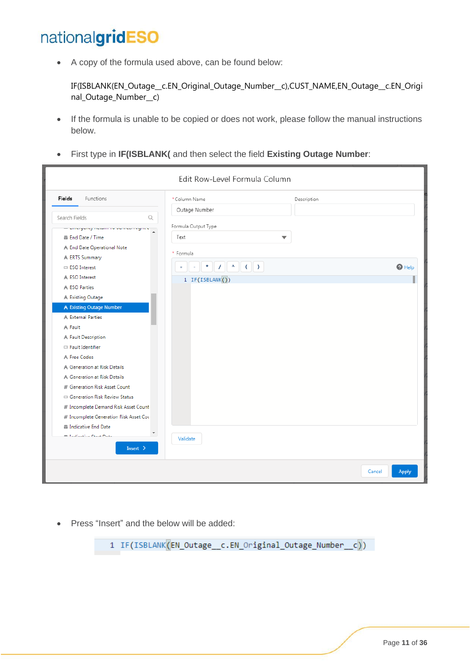• A copy of the formula used above, can be found below:

IF(ISBLANK(EN\_Outage\_\_c.EN\_Original\_Outage\_Number\_\_c),CUST\_NAME,EN\_Outage\_\_c.EN\_Origi nal\_Outage\_Number\_\_c)

- If the formula is unable to be copied or does not work, please follow the manual instructions below.
- First type in **IF(ISBLANK(** and then select the field **Existing Outage Number**:

|                                                                                               | Edit Row-Level Formula Column        |             |        |                        |
|-----------------------------------------------------------------------------------------------|--------------------------------------|-------------|--------|------------------------|
| Fields<br>Functions                                                                           | *Column Name                         | Description |        |                        |
| Search Fields<br>Q<br>- annoyang nasun is barnas ingin a -                                    | Outage Number<br>Formula Output Type |             |        |                        |
| A<br>iii End Date / Time<br>A End Date Operational Note                                       | Text<br>$\overline{\phantom{a}}$     |             |        |                        |
| A ERTS Summary<br>□ ESO Interest                                                              | * Formula<br>$\ddot{}$               |             |        | $\mathbf{\Theta}$ Help |
| A ESO Interest<br>A ESO Parties<br>A Existing Outage                                          | 1 IF(ISBLANK())                      |             |        |                        |
| A Existing Outage Number<br>A External Parties                                                |                                      |             |        |                        |
| A Fault<br>A Fault Description                                                                |                                      |             |        |                        |
| Fault Identifier<br>A Free Codes                                                              |                                      |             |        |                        |
| A Generation at Risk Details<br>A Generation at Risk Details<br># Generation Risk Asset Count |                                      |             |        |                        |
| Generation Risk Review Status<br># Incomplete Demand Risk Asset Count                         |                                      |             |        |                        |
| # Incomplete Generation Risk Asset Cou<br><b>iii</b> Indicative End Date                      |                                      |             |        |                        |
| $\overline{\phantom{a}}$<br><b>E. Taulfouches Cause Proper</b><br>Insert $\rightarrow$        | Validate                             |             |        |                        |
|                                                                                               |                                      |             | Cancel | <b>Apply</b>           |

• Press "Insert" and the below will be added:

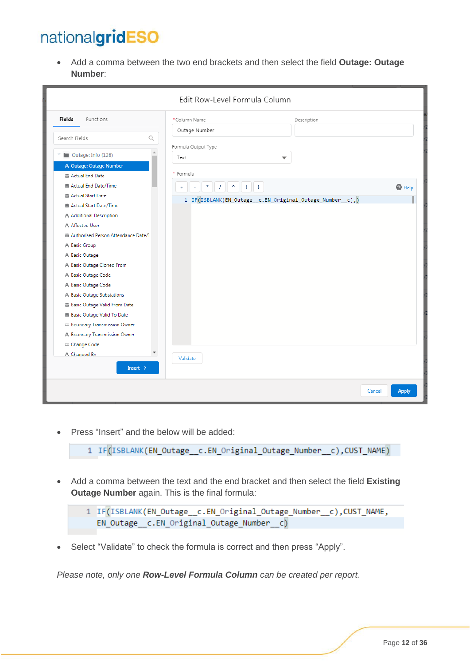• Add a comma between the two end brackets and then select the field **Outage: Outage Number**:

|                                                                                                                                                                                                                                                                                                                                                                                                                                                                                    | Edit Row-Level Formula Column                                            |                                                         |                        |
|------------------------------------------------------------------------------------------------------------------------------------------------------------------------------------------------------------------------------------------------------------------------------------------------------------------------------------------------------------------------------------------------------------------------------------------------------------------------------------|--------------------------------------------------------------------------|---------------------------------------------------------|------------------------|
| Functions<br><b>Fields</b>                                                                                                                                                                                                                                                                                                                                                                                                                                                         | *Column Name                                                             | Description                                             |                        |
| Search Fields<br>$\alpha$                                                                                                                                                                                                                                                                                                                                                                                                                                                          | Outage Number<br>Formula Output Type                                     |                                                         |                        |
| Outage: Info (128)                                                                                                                                                                                                                                                                                                                                                                                                                                                                 | Text                                                                     | $\overline{\phantom{a}}$                                |                        |
| A Outage: Outage Number<br>Actual End Date<br>Actual End Date/Time<br>Actual Start Date<br>Actual Start Date/Time<br>A Additional Description<br>A Affected User<br>Authorised Person Attendance Date/1<br>A Basic Group<br>A Basic Outage<br>A Basic Outage Cloned From<br>A Basic Outage Code<br>A Basic Outage Code<br>A Basic Outage Substations<br>Basic Outage Valid From Date<br>Basic Outage Valid To Date<br>Boundary Transmission Owner<br>A Boundary Transmission Owner | * Formula<br>$1$ $($<br>$\star$<br>$\overline{\phantom{a}}$<br>$\ddot{}$ | 1 IF(ISBLANK(EN_Outage_c.EN_Original_Outage_Number_c),) | $Q$ Help               |
| □ Change Code<br>$\overline{\phantom{a}}$<br>A Changed By<br>Insert $\rightarrow$                                                                                                                                                                                                                                                                                                                                                                                                  | Validate                                                                 |                                                         |                        |
|                                                                                                                                                                                                                                                                                                                                                                                                                                                                                    |                                                                          |                                                         | Cancel<br><b>Apply</b> |

• Press "Insert" and the below will be added:

1 IF(ISBLANK(EN\_Outage\_c.EN\_Original\_Outage\_Number\_c),CUST\_NAME)

• Add a comma between the text and the end bracket and then select the field **Existing Outage Number** again. This is the final formula:

```
1 IF(ISBLANK(EN_Outage__c.EN_Original_Outage_Number__c), CUST_NAME,
  EN_Outage_c.EN_Original_Outage_Number_c)
```
• Select "Validate" to check the formula is correct and then press "Apply".

*Please note, only one Row-Level Formula Column can be created per report.*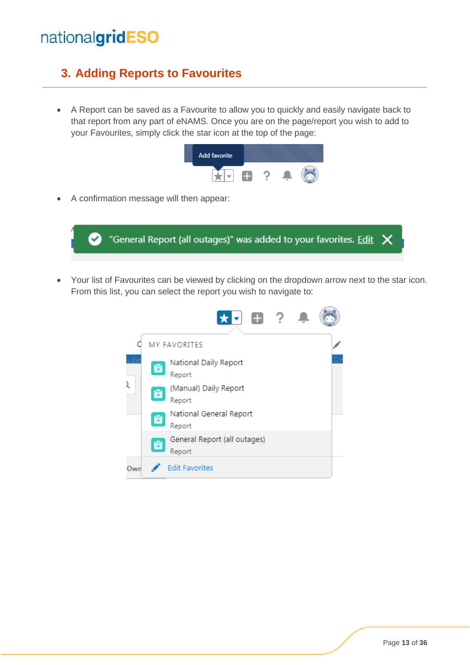#### <span id="page-12-0"></span>**3. Adding Reports to Favourites**

• A Report can be saved as a Favourite to allow you to quickly and easily navigate back to that report from any part of eNAMS. Once you are on the page/report you wish to add to your Favourites, simply click the star icon at the top of the page:



• A confirmation message will then appear:



• Your list of Favourites can be viewed by clicking on the dropdown arrow next to the star icon. From this list, you can select the report you wish to navigate to:

|     |   | <b>EL ?</b>                            |  |  |
|-----|---|----------------------------------------|--|--|
|     |   | MY FAVORITES                           |  |  |
|     | 圖 | National Daily Report<br>Report        |  |  |
| ί   | 圖 | (Manual) Daily Report<br>Report        |  |  |
|     | 圖 | National General Report<br>Report      |  |  |
|     | 圖 | General Report (all outages)<br>Report |  |  |
| Own |   | <b>Edit Favorites</b>                  |  |  |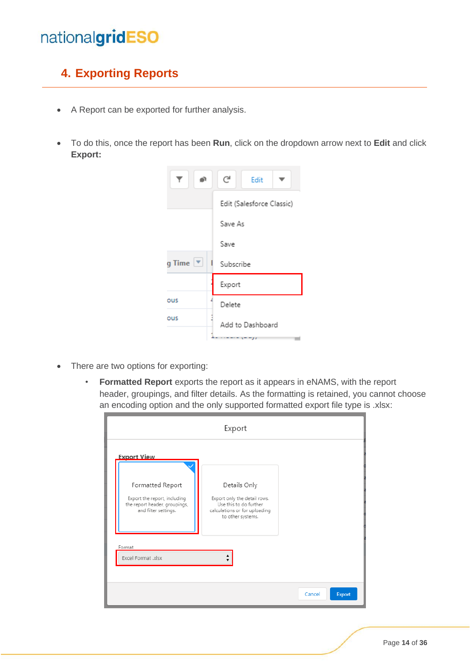#### <span id="page-13-0"></span>**4. Exporting Reports**

- A Report can be exported for further analysis.
- To do this, once the report has been **Run**, click on the dropdown arrow next to **Edit** and click **Export:**



- There are two options for exporting:
	- **Formatted Report** exports the report as it appears in eNAMS, with the report header, groupings, and filter details. As the formatting is retained, you cannot choose an encoding option and the only supported formatted export file type is .xlsx:

| <b>Export View</b>                                                                                        |                                                                                                                              |  |
|-----------------------------------------------------------------------------------------------------------|------------------------------------------------------------------------------------------------------------------------------|--|
| Formatted Report<br>Export the report, including<br>the report header, groupings,<br>and filter settings. | Details Only<br>Export only the detail rows.<br>Use this to do further<br>calculations or for uploading<br>to other systems. |  |
| Format<br>Excel Format .xlsx                                                                              |                                                                                                                              |  |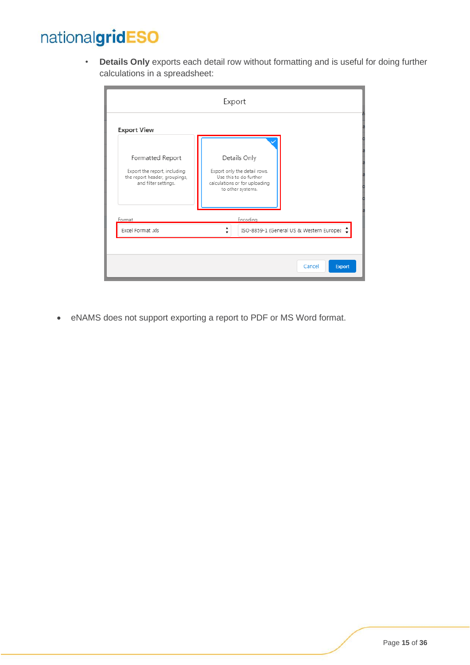• **Details Only** exports each detail row without formatting and is useful for doing further calculations in a spreadsheet:

|                                                                                                           | Export                                                                                                                       |
|-----------------------------------------------------------------------------------------------------------|------------------------------------------------------------------------------------------------------------------------------|
| <b>Export View</b>                                                                                        |                                                                                                                              |
| Formatted Report<br>Export the report, including<br>the report header, groupings,<br>and filter settings. | Details Only<br>Export only the detail rows.<br>Use this to do further<br>calculations or for uploading<br>to other systems. |
| Format                                                                                                    | Encoding                                                                                                                     |
| Excel Format .xls                                                                                         | ISO-8859-1 (General US & Western Europea                                                                                     |
|                                                                                                           |                                                                                                                              |
|                                                                                                           | Cancel<br>Export                                                                                                             |

• eNAMS does not support exporting a report to PDF or MS Word format.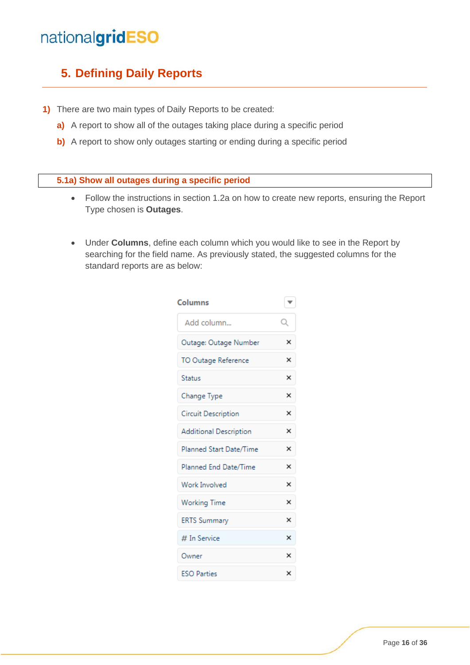#### <span id="page-15-0"></span>**5. Defining Daily Reports**

- **1)** There are two main types of Daily Reports to be created:
	- **a)** A report to show all of the outages taking place during a specific period
	- **b)** A report to show only outages starting or ending during a specific period

#### <span id="page-15-1"></span>**5.1a) Show all outages during a specific period**

- Follow the instructions in section 1.2a on how to create new reports, ensuring the Report Type chosen is **Outages**.
- Under **Columns**, define each column which you would like to see in the Report by searching for the field name. As previously stated, the suggested columns for the standard reports are as below:

| Columns                       | $\overline{\phantom{a}}$ |
|-------------------------------|--------------------------|
| Add column                    | Q                        |
| Outage: Outage Number         | ×                        |
| TO Outage Reference           | $\times$                 |
| <b>Status</b>                 | ×                        |
| Change Type                   | ×                        |
| <b>Circuit Description</b>    | ×                        |
| <b>Additional Description</b> | ×                        |
| Planned Start Date/Time       | ×                        |
| Planned End Date/Time         | ×                        |
| Work Involved                 | ×                        |
| <b>Working Time</b>           | ×                        |
| <b>ERTS Summary</b>           | $\times$                 |
| # In Service                  | ×                        |
| Owner                         | ×                        |
| <b>ESO Parties</b>            | ×                        |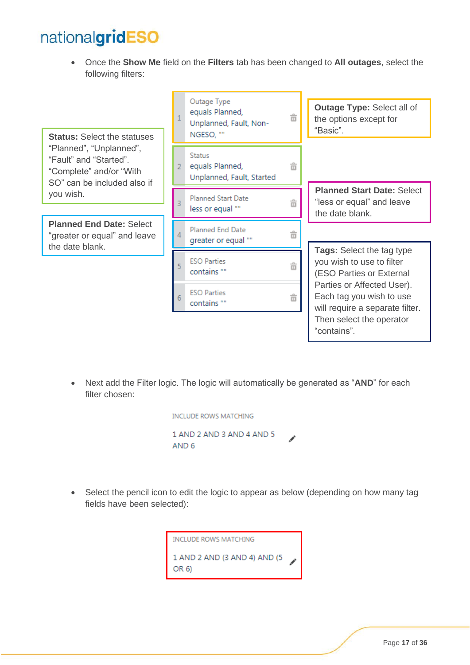• Once the **Show Me** field on the **Filters** tab has been changed to **All outages**, select the following filters:

"Planned", "Unplanned", "Fault" and "Started". "Complete" and/or "With SO" can be included also if

**Planned End Date:** Select "greater or equal" and leave



• Next add the Filter logic. The logic will automatically be generated as "**AND**" for each filter chosen:

| INCLUDE ROWS MATCHING     |  |
|---------------------------|--|
| 1 AND 2 AND 3 AND 4 AND 5 |  |
| AND 6                     |  |

• Select the pencil icon to edit the logic to appear as below (depending on how many tag fields have been selected):

> **INCLUDE ROWS MATCHING** 1 AND 2 AND (3 AND 4) AND (5 OR 6)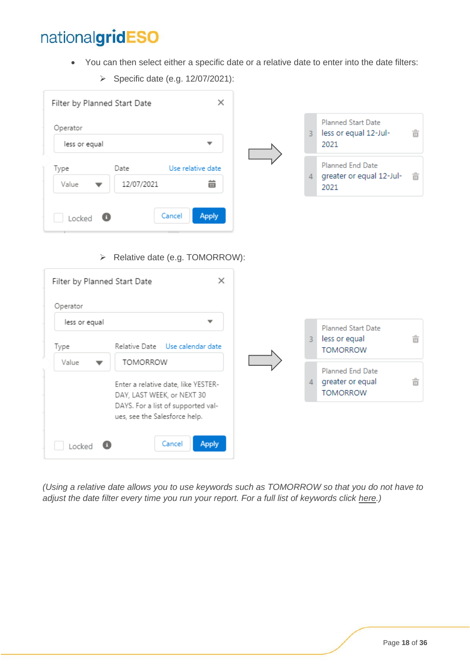- You can then select either a specific date or a relative date to enter into the date filters:
- $\times$ Filter by Planned Start Date **Planned Start Date** Operator  $\overline{3}$ less or equal 12-Jul-亩 less or equal ÷ 2021 Planned End Date Type Date Use relative date  $\overline{4}$ greater or equal 12-Jul-亩 12/07/2021 齒 Value 2021 Cancel **Apply** Locked Θ ➢ Relative date (e.g. TOMORROW):  $\times$ Filter by Planned Start Date Operator less or equal **Planned Start Date** less or equal  $3<sup>°</sup>$ 亩 Relative Date Use calendar date Type **TOMORROW** Value **TOMORROW**  $\overline{\phantom{0}}$ Planned End Date greater or equal  $\overline{4}$ û Enter a relative date, like YESTER-**TOMORROW** DAY, LAST WEEK, or NEXT 30 DAYS. For a list of supported values, see the Salesforce help. Cancel **Apply**  $\Box$  Locked  $\Box$
- ➢ Specific date (e.g. 12/07/2021):

*(Using a relative date allows you to use keywords such as TOMORROW so that you do not have to adjust the date filter every time you run your report. For a full list of keywords click [here.](https://help.salesforce.com/articleView?id=sf.filter_dates_relative.htm&type=5))*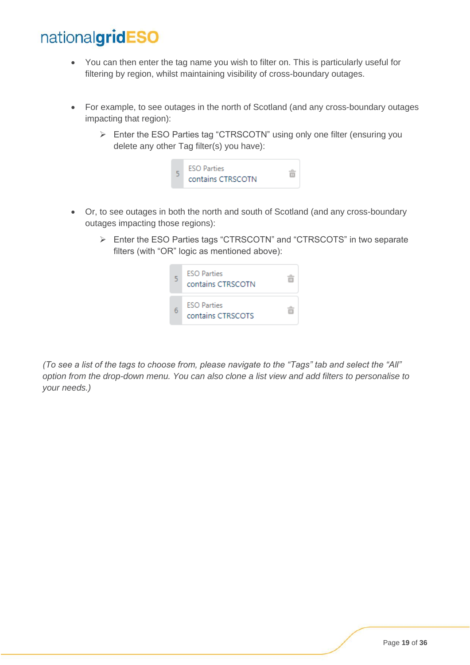- You can then enter the tag name you wish to filter on. This is particularly useful for filtering by region, whilst maintaining visibility of cross-boundary outages.
- For example, to see outages in the north of Scotland (and any cross-boundary outages impacting that region):
	- ➢ Enter the ESO Parties tag "CTRSCOTN" using only one filter (ensuring you delete any other Tag filter(s) you have):



- Or, to see outages in both the north and south of Scotland (and any cross-boundary outages impacting those regions):
	- ➢ Enter the ESO Parties tags "CTRSCOTN" and "CTRSCOTS" in two separate filters (with "OR" logic as mentioned above):



*(To see a list of the tags to choose from, please navigate to the "Tags" tab and select the "All" option from the drop-down menu. You can also clone a list view and add filters to personalise to your needs.)*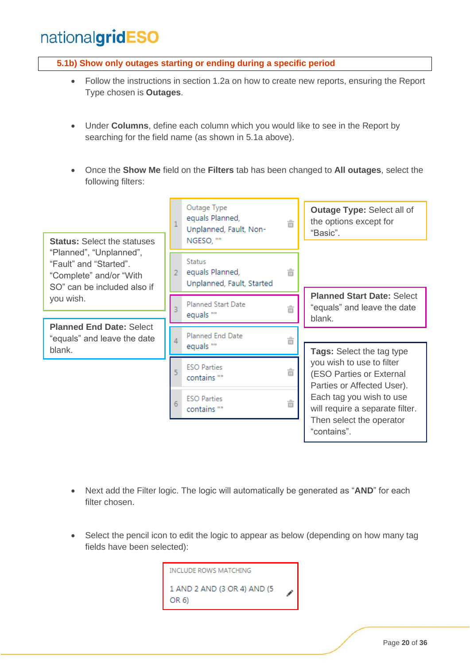#### <span id="page-19-0"></span>**5.1b) Show only outages starting or ending during a specific period**

- Follow the instructions in section 1.2a on how to create new reports, ensuring the Report Type chosen is **Outages**.
- Under **Columns**, define each column which you would like to see in the Report by searching for the field name (as shown in 5.1a above).
- Once the **Show Me** field on the **Filters** tab has been changed to **All outages**, select the following filters:



- Next add the Filter logic. The logic will automatically be generated as "**AND**" for each filter chosen.
- Select the pencil icon to edit the logic to appear as below (depending on how many tag fields have been selected):

**INCLUDE ROWS MATCHING** 1 AND 2 AND (3 OR 4) AND (5 OR 6)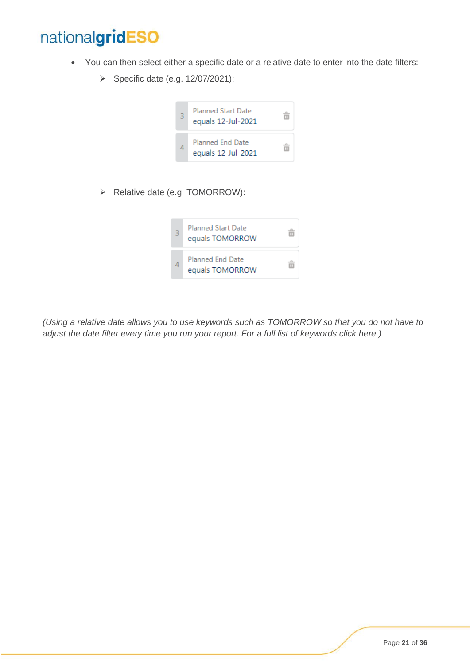- You can then select either a specific date or a relative date to enter into the date filters:
	- ➢ Specific date (e.g. 12/07/2021):



➢ Relative date (e.g. TOMORROW):



*(Using a relative date allows you to use keywords such as TOMORROW so that you do not have to adjust the date filter every time you run your report. For a full list of keywords click [here.](https://help.salesforce.com/articleView?id=sf.filter_dates_relative.htm&type=5))*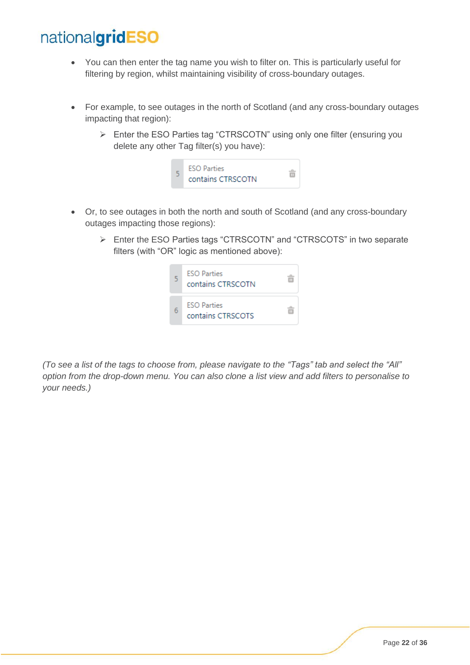- You can then enter the tag name you wish to filter on. This is particularly useful for filtering by region, whilst maintaining visibility of cross-boundary outages.
- For example, to see outages in the north of Scotland (and any cross-boundary outages impacting that region):
	- ➢ Enter the ESO Parties tag "CTRSCOTN" using only one filter (ensuring you delete any other Tag filter(s) you have):



- Or, to see outages in both the north and south of Scotland (and any cross-boundary outages impacting those regions):
	- ➢ Enter the ESO Parties tags "CTRSCOTN" and "CTRSCOTS" in two separate filters (with "OR" logic as mentioned above):



*(To see a list of the tags to choose from, please navigate to the "Tags" tab and select the "All" option from the drop-down menu. You can also clone a list view and add filters to personalise to your needs.)*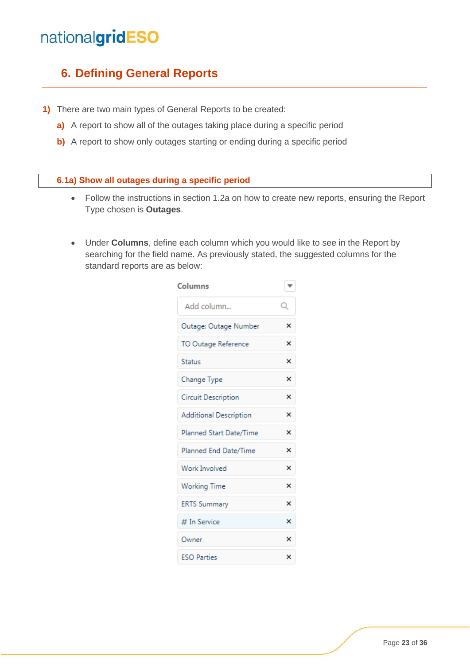#### <span id="page-22-0"></span>**6. Defining General Reports**

- **1)** There are two main types of General Reports to be created:
	- **a)** A report to show all of the outages taking place during a specific period
	- **b)** A report to show only outages starting or ending during a specific period

#### <span id="page-22-1"></span>**6.1a) Show all outages during a specific period**

- Follow the instructions in section 1.2a on how to create new reports, ensuring the Report Type chosen is **Outages**.
- Under **Columns**, define each column which you would like to see in the Report by searching for the field name. As previously stated, the suggested columns for the standard reports are as below:

| Columns                       | ▼        |
|-------------------------------|----------|
| Add column                    | Q        |
| Outage: Outage Number         | ×        |
| TO Outage Reference           | $\times$ |
| <b>Status</b>                 | ×        |
| Change Type                   | $\times$ |
| Circuit Description           | ×        |
| <b>Additional Description</b> | ×        |
| Planned Start Date/Time       | ×        |
| Planned End Date/Time         | ×        |
| <b>Work Involved</b>          | ×        |
| <b>Working Time</b>           | ×        |
| <b>ERTS Summary</b>           | ×        |
| # In Service                  | ×        |
| Owner                         | $\times$ |
| <b>ESO Parties</b>            | ×        |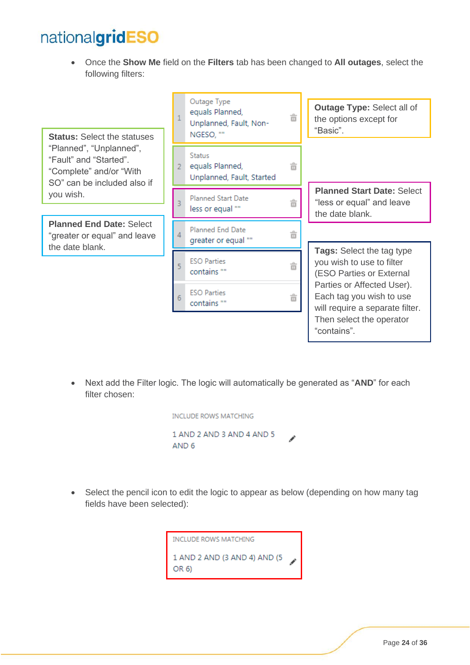• Once the **Show Me** field on the **Filters** tab has been changed to **All outages**, select the following filters:

"Planned", "Unplanned", "Fault" and "Started". "Complete" and/or "With SO" can be included also if

**Planned End Date:** Select "greater or equal" and leave



• Next add the Filter logic. The logic will automatically be generated as "**AND**" for each filter chosen:

| INCLUDE ROWS MATCHING     |  |
|---------------------------|--|
| 1 AND 2 AND 3 AND 4 AND 5 |  |
| AND 6                     |  |

• Select the pencil icon to edit the logic to appear as below (depending on how many tag fields have been selected):

> **INCLUDE ROWS MATCHING** 1 AND 2 AND (3 AND 4) AND (5 OR 6)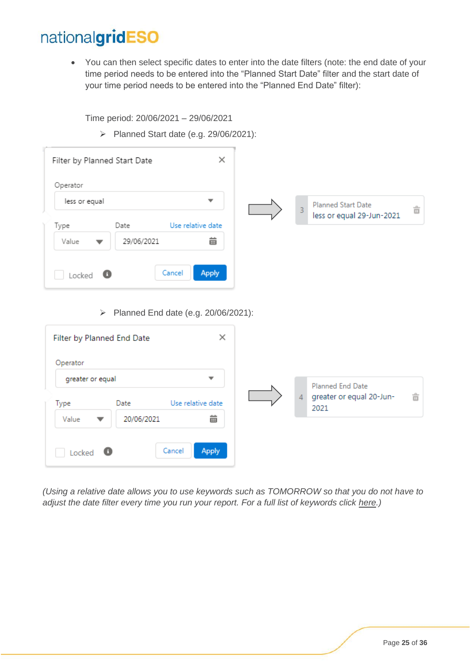• You can then select specific dates to enter into the date filters (note: the end date of your time period needs to be entered into the "Planned Start Date" filter and the start date of your time period needs to be entered into the "Planned End Date" filter):

Time period: 20/06/2021 – 29/06/2021

➢ Planned Start date (e.g. 29/06/2021):

| Operator         |            |        |                          |                |                                                        |                     |
|------------------|------------|--------|--------------------------|----------------|--------------------------------------------------------|---------------------|
| less or equal    |            |        | $\overline{\phantom{a}}$ | $\overline{3}$ | <b>Planned Start Date</b><br>less or equal 29-Jun-2021 | $\frac{1}{\square}$ |
| Type             | Date       |        | Use relative date        |                |                                                        |                     |
| Value            | 29/06/2021 |        | 齒                        |                |                                                        |                     |
| Locked $\bullet$ |            | Cancel | <b>Apply</b>             |                |                                                        |                     |

| Filter by Planned End Date |            | ×                                             |   |                                                      |   |
|----------------------------|------------|-----------------------------------------------|---|------------------------------------------------------|---|
| Operator                   |            |                                               |   |                                                      |   |
| greater or equal<br>Type   | Date       | $\overline{\phantom{a}}$<br>Use relative date | 4 | Planned End Date<br>greater or equal 20-Jun-<br>2021 | 亩 |
| Value<br>▼                 | 20/06/2021 | 齒                                             |   |                                                      |   |
| Locked<br>-0               | Cancel     | <b>Apply</b>                                  |   |                                                      |   |

*(Using a relative date allows you to use keywords such as TOMORROW so that you do not have to adjust the date filter every time you run your report. For a full list of keywords click [here.](https://help.salesforce.com/articleView?id=sf.filter_dates_relative.htm&type=5))*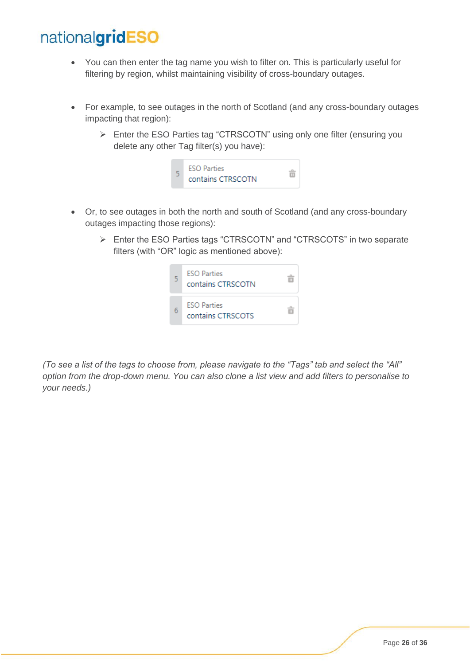- You can then enter the tag name you wish to filter on. This is particularly useful for filtering by region, whilst maintaining visibility of cross-boundary outages.
- For example, to see outages in the north of Scotland (and any cross-boundary outages impacting that region):
	- ➢ Enter the ESO Parties tag "CTRSCOTN" using only one filter (ensuring you delete any other Tag filter(s) you have):



- Or, to see outages in both the north and south of Scotland (and any cross-boundary outages impacting those regions):
	- ➢ Enter the ESO Parties tags "CTRSCOTN" and "CTRSCOTS" in two separate filters (with "OR" logic as mentioned above):



*(To see a list of the tags to choose from, please navigate to the "Tags" tab and select the "All" option from the drop-down menu. You can also clone a list view and add filters to personalise to your needs.)*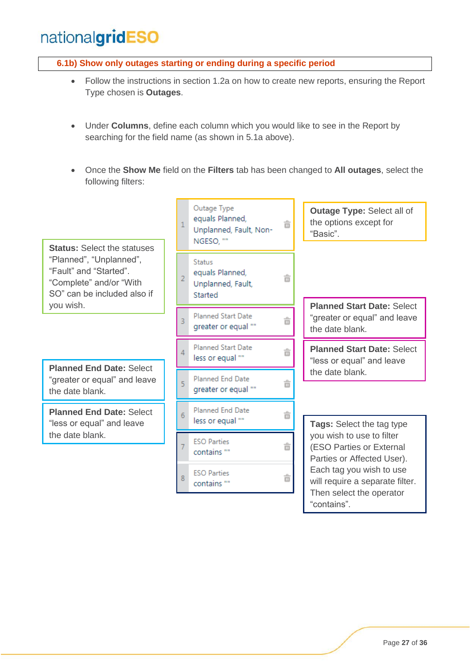#### <span id="page-26-0"></span>**6.1b) Show only outages starting or ending during a specific period**

- Follow the instructions in section 1.2a on how to create new reports, ensuring the Report Type chosen is **Outages**.
- Under **Columns**, define each column which you would like to see in the Report by searching for the field name (as shown in 5.1a above).
- Once the **Show Me** field on the **Filters** tab has been changed to **All outages**, select the following filters:

**Status:** Select the statuses "Planned", "Unplanned", "Fault" and "Started". "Complete" and/or "With SO" can be included also if you wish.

Planned End Date: Select<br>
"greater or equal" and leave "greater or equal" and leave the date blank.

**Planned End Date:** Select "less or equal" and leave the date blank.

Outage Type equals Planned,  $\mathbf{1}$ 亩 Unplanned, Fault, Non-NGESO, ""

**Status** equals Planned.  $\overline{2}$ Unplanned, Fault, Started

亩

亩

â

亩

ô

- Planned Start Date 3 greater or equal ""
- Planned Start Date  $\overline{\Lambda}$ less or equal ""
- $\overline{5}$ greater or equal ""

Planned End Date  $6\phantom{1}6$ less or equal ""

**ESO Parties** 亩 contains "" **ESO Parties** 8 亩 contains ""

**Outage Type:** Select all of the options except for "Basic".

**Planned Start Date:** Select "greater or equal" and leave the date blank.

**Planned Start Date:** Select "less or equal" and leave

**Tags:** Select the tag type you wish to use to filter (ESO Parties or External Parties or Affected User). Each tag you wish to use will require a separate filter. Then select the operator "contains".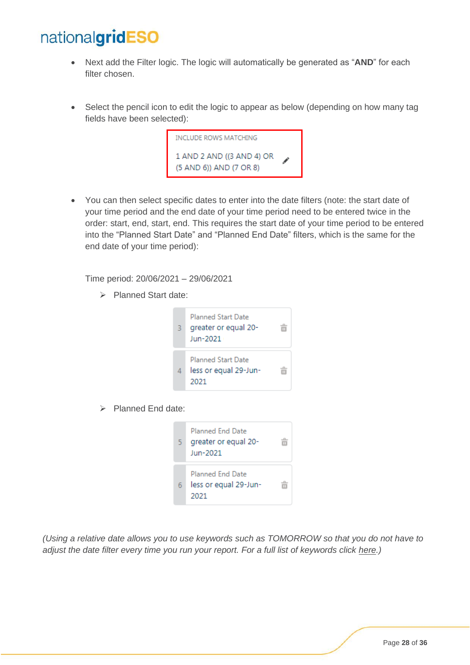- Next add the Filter logic. The logic will automatically be generated as "**AND**" for each filter chosen.
- Select the pencil icon to edit the logic to appear as below (depending on how many tag fields have been selected):



• You can then select specific dates to enter into the date filters (note: the start date of your time period and the end date of your time period need to be entered twice in the order: start, end, start, end. This requires the start date of your time period to be entered into the "Planned Start Date" and "Planned End Date" filters, which is the same for the end date of your time period):

Time period: 20/06/2021 – 29/06/2021

➢ Planned Start date:



➢ Planned End date:



*(Using a relative date allows you to use keywords such as TOMORROW so that you do not have to adjust the date filter every time you run your report. For a full list of keywords click [here.](https://help.salesforce.com/articleView?id=sf.filter_dates_relative.htm&type=5))*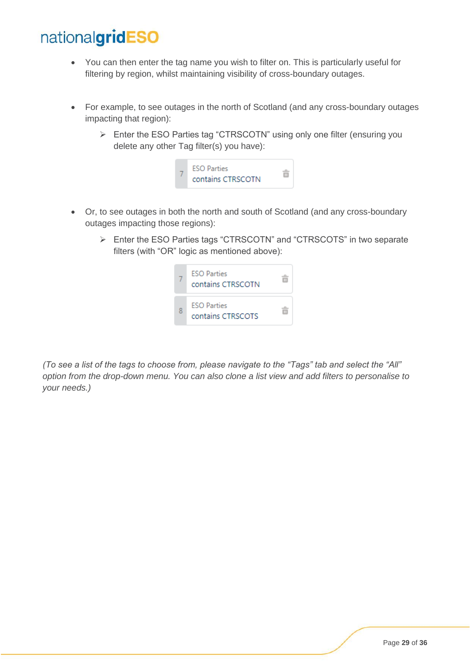- You can then enter the tag name you wish to filter on. This is particularly useful for filtering by region, whilst maintaining visibility of cross-boundary outages.
- For example, to see outages in the north of Scotland (and any cross-boundary outages impacting that region):
	- ➢ Enter the ESO Parties tag "CTRSCOTN" using only one filter (ensuring you delete any other Tag filter(s) you have):



- Or, to see outages in both the north and south of Scotland (and any cross-boundary outages impacting those regions):
	- ➢ Enter the ESO Parties tags "CTRSCOTN" and "CTRSCOTS" in two separate filters (with "OR" logic as mentioned above):



*(To see a list of the tags to choose from, please navigate to the "Tags" tab and select the "All" option from the drop-down menu. You can also clone a list view and add filters to personalise to your needs.)*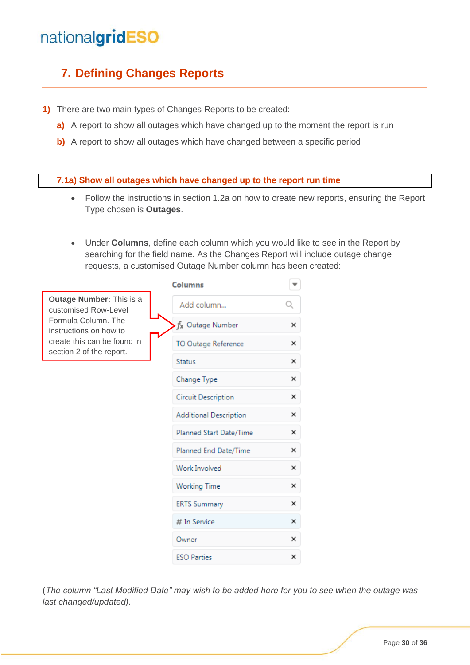#### <span id="page-29-0"></span>**7. Defining Changes Reports**

- **1)** There are two main types of Changes Reports to be created:
	- **a)** A report to show all outages which have changed up to the moment the report is run
	- **b)** A report to show all outages which have changed between a specific period

#### <span id="page-29-1"></span>**7.1a) Show all outages which have changed up to the report run time**

- Follow the instructions in section 1.2a on how to create new reports, ensuring the Report Type chosen is **Outages**.
- Under **Columns**, define each column which you would like to see in the Report by searching for the field name. As the Changes Report will include outage change requests, a customised Outage Number column has been created:

|                                                         | <b>Columns</b>                |   |
|---------------------------------------------------------|-------------------------------|---|
| <b>Outage Number: This is a</b><br>customised Row-Level | Add column                    | Q |
| Formula Column, The<br>instructions on how to           | f <sub>x</sub> Outage Number  | × |
| create this can be found in<br>section 2 of the report. | TO Outage Reference           | × |
|                                                         | <b>Status</b>                 | × |
|                                                         | Change Type                   | × |
|                                                         | <b>Circuit Description</b>    | × |
|                                                         | <b>Additional Description</b> | × |
|                                                         | Planned Start Date/Time       | × |
|                                                         | Planned End Date/Time         | × |
|                                                         | Work Involved                 | × |
|                                                         | <b>Working Time</b>           | × |
|                                                         | <b>ERTS Summary</b>           | × |
|                                                         | # In Service                  | × |
|                                                         | Owner                         | × |
|                                                         | <b>ESO Parties</b>            | × |

(*The column "Last Modified Date" may wish to be added here for you to see when the outage was last changed/updated).*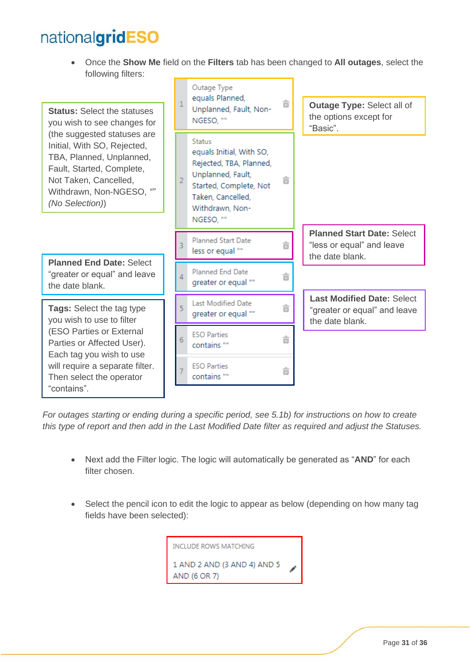• Once the **Show Me** field on the **Filters** tab has been changed to **All outages**, select the following filters:



*For outages starting or ending during a specific period, see 5.1b) for instructions on how to create this type of report and then add in the Last Modified Date filter as required and adjust the Statuses.*

- Next add the Filter logic. The logic will automatically be generated as "**AND**" for each filter chosen.
- Select the pencil icon to edit the logic to appear as below (depending on how many tag fields have been selected):

| INCLUDE ROWS MATCHING                       |   |
|---------------------------------------------|---|
| 1 AND 2 AND (3 AND 4) AND 5<br>AND (6 OR 7) | Í |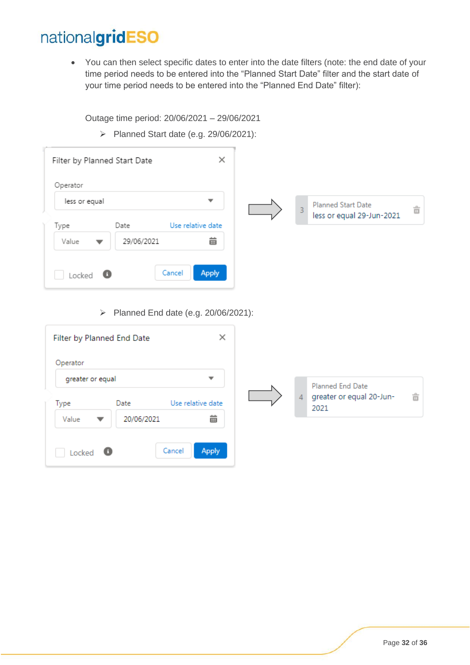• You can then select specific dates to enter into the date filters (note: the end date of your time period needs to be entered into the "Planned Start Date" filter and the start date of your time period needs to be entered into the "Planned End Date" filter):

Outage time period: 20/06/2021 – 29/06/2021

➢ Planned Start date (e.g. 29/06/2021):

| Filter by Planned Start Date |            | $\times$                 |                |                                                        |   |
|------------------------------|------------|--------------------------|----------------|--------------------------------------------------------|---|
| Operator                     |            |                          |                |                                                        |   |
| less or equal                |            | $\overline{\phantom{a}}$ | $\overline{3}$ | <b>Planned Start Date</b><br>less or equal 29-Jun-2021 | 亩 |
| Type                         | Date       | Use relative date        |                |                                                        |   |
| Value<br>▼                   | 29/06/2021 | 齒                        |                |                                                        |   |
| - 0<br>Locked                |            | <b>Apply</b><br>Cancel   |                |                                                        |   |

➢ Planned End date (e.g. 20/06/2021):

| Filter by Planned End Date       | $\times$               |   |                                                      |   |
|----------------------------------|------------------------|---|------------------------------------------------------|---|
| Operator                         |                        |   |                                                      |   |
| greater or equal<br>Date<br>Type | ▼<br>Use relative date | 4 | Planned End Date<br>greater or equal 20-Jun-<br>2021 | 亩 |
| 20/06/2021<br>Value<br>▼         | 齒                      |   |                                                      |   |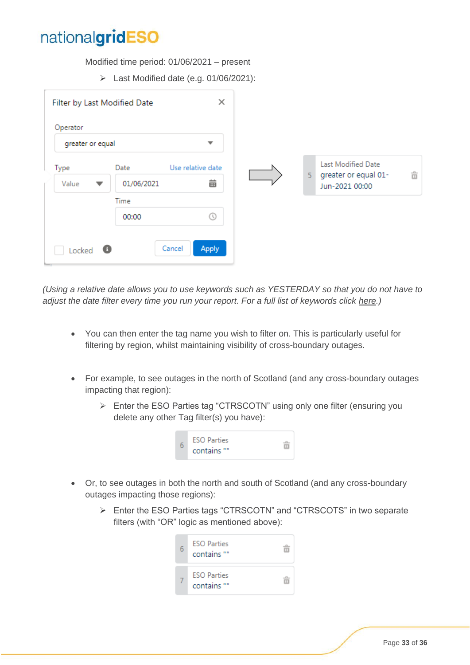Modified time period: 01/06/2021 – present

➢ Last Modified date (e.g. 01/06/2021):

| Operator                 |                    | $\overline{\phantom{a}}$ |                |                                            |   |
|--------------------------|--------------------|--------------------------|----------------|--------------------------------------------|---|
| greater or equal<br>Type | Date               | Use relative date        | $\overline{5}$ | Last Modified Date<br>greater or equal 01- | 亩 |
| Value<br>▼               | 01/06/2021<br>Time | 齒                        |                | Jun-2021 00:00                             |   |
|                          | 00:00              | $\circ$                  |                |                                            |   |

*(Using a relative date allows you to use keywords such as YESTERDAY so that you do not have to adjust the date filter every time you run your report. For a full list of keywords click [here.](https://help.salesforce.com/articleView?id=sf.filter_dates_relative.htm&type=5))*

- You can then enter the tag name you wish to filter on. This is particularly useful for filtering by region, whilst maintaining visibility of cross-boundary outages.
- For example, to see outages in the north of Scotland (and any cross-boundary outages impacting that region):
	- ➢ Enter the ESO Parties tag "CTRSCOTN" using only one filter (ensuring you delete any other Tag filter(s) you have):



- Or, to see outages in both the north and south of Scotland (and any cross-boundary outages impacting those regions):
	- ➢ Enter the ESO Parties tags "CTRSCOTN" and "CTRSCOTS" in two separate filters (with "OR" logic as mentioned above):

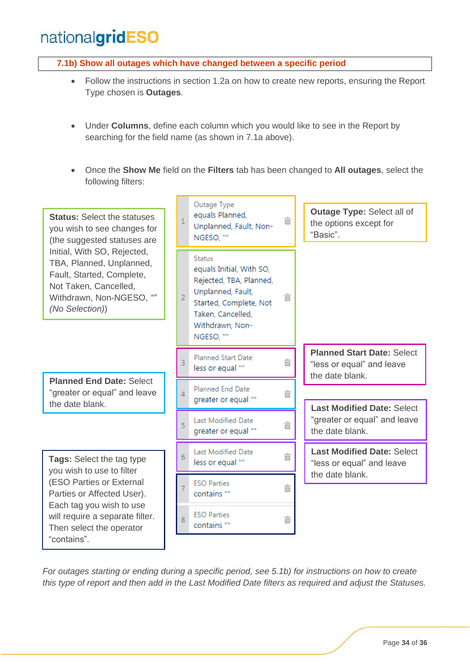<span id="page-33-0"></span>**7.1b) Show all outages which have changed between a specific period** 

- Follow the instructions in section 1.2a on how to create new reports, ensuring the Report Type chosen is **Outages**.
- Under **Columns**, define each column which you would like to see in the Report by searching for the field name (as shown in 7.1a above).
- Once the **Show Me** field on the **Filters** tab has been changed to **All outages**, select the following filters:



*For outages starting or ending during a specific period, see 5.1b) for instructions on how to create this type of report and then add in the Last Modified Date filters as required and adjust the Statuses.*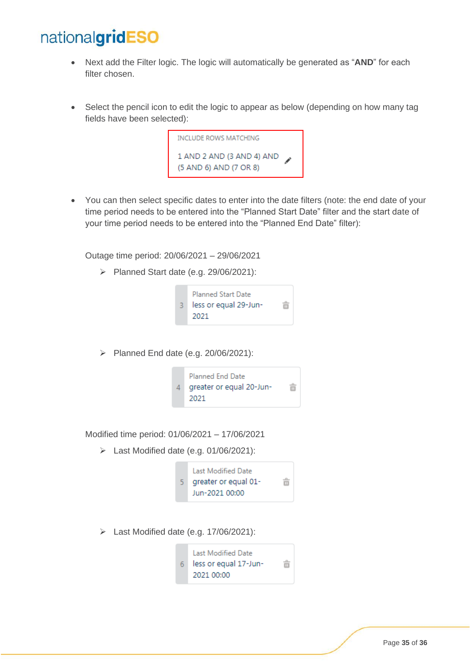- Next add the Filter logic. The logic will automatically be generated as "**AND**" for each filter chosen.
- Select the pencil icon to edit the logic to appear as below (depending on how many tag fields have been selected):



• You can then select specific dates to enter into the date filters (note: the end date of your time period needs to be entered into the "Planned Start Date" filter and the start date of your time period needs to be entered into the "Planned End Date" filter):

Outage time period: 20/06/2021 – 29/06/2021

➢ Planned Start date (e.g. 29/06/2021):



➢ Planned End date (e.g. 20/06/2021):



Modified time period: 01/06/2021 – 17/06/2021

➢ Last Modified date (e.g. 01/06/2021):



➢ Last Modified date (e.g. 17/06/2021):